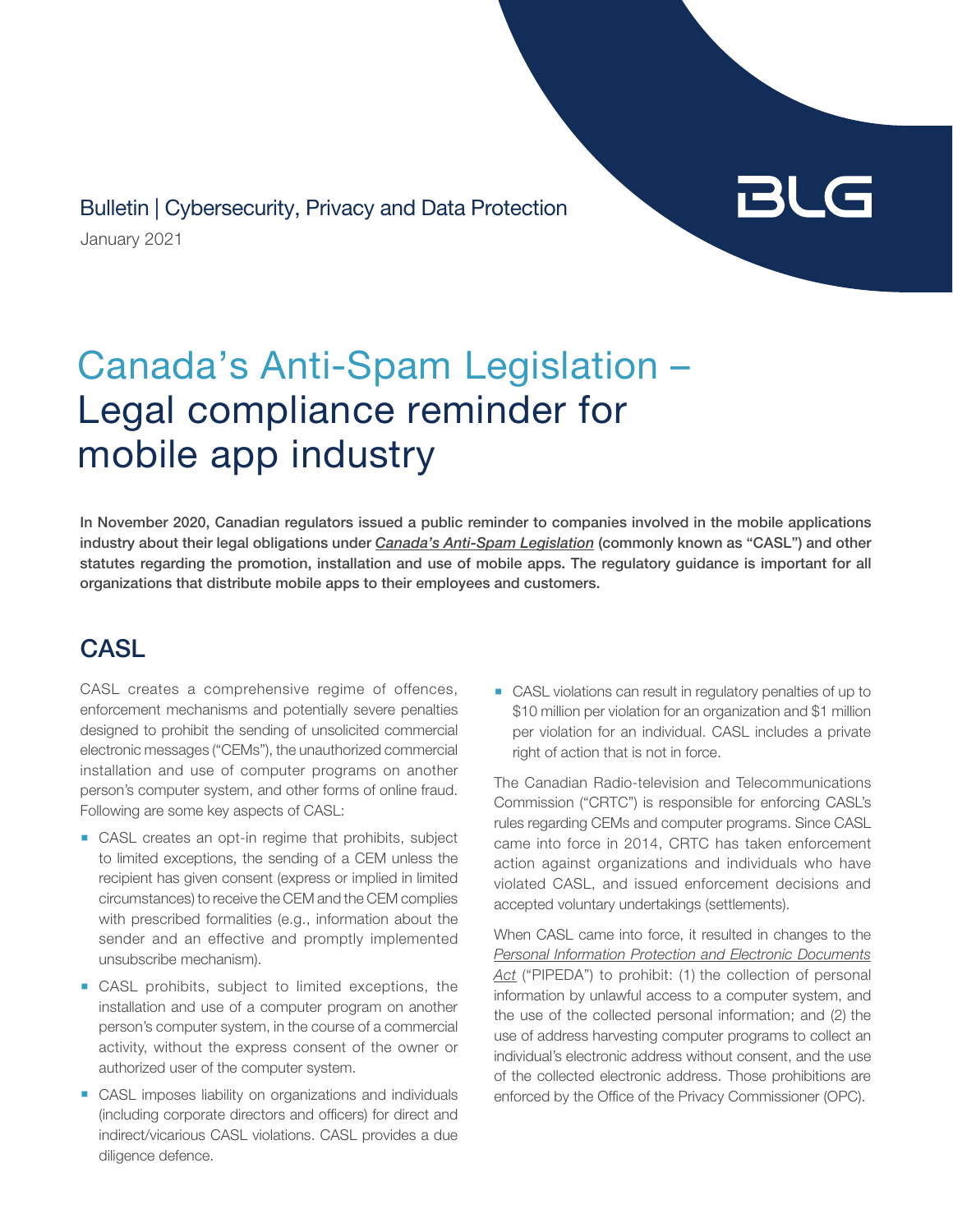January 2021 Bulletin | Cybersecurity, Privacy and Data Protection

# BLG

## Canada's Anti-Spam Legislation – Legal compliance reminder for mobile app industry

In November 2020, Canadian regulators issued a public reminder to companies involved in the mobile applications industry about their legal obligations under *[Canada's Anti-Spam Legislation](http://canlii.ca/t/52z4l)* (commonly known as "CASL") and other statutes regarding the promotion, installation and use of mobile apps. The regulatory guidance is important for all organizations that distribute mobile apps to their employees and customers.

### **CASL**

CASL creates a comprehensive regime of offences, enforcement mechanisms and potentially severe penalties designed to prohibit the sending of unsolicited commercial electronic messages ("CEMs"), the unauthorized commercial installation and use of computer programs on another person's computer system, and other forms of online fraud. Following are some key aspects of CASL:

- CASL creates an opt-in regime that prohibits, subject to limited exceptions, the sending of a CEM unless the recipient has given consent (express or implied in limited circumstances) to receive the CEM and the CEM complies with prescribed formalities (e.g., information about the sender and an effective and promptly implemented unsubscribe mechanism).
- CASL prohibits, subject to limited exceptions, the installation and use of a computer program on another person's computer system, in the course of a commercial activity, without the express consent of the owner or authorized user of the computer system.
- CASL imposes liability on organizations and individuals (including corporate directors and officers) for direct and indirect/vicarious CASL violations. CASL provides a due diligence defence.

■ CASL violations can result in regulatory penalties of up to \$10 million per violation for an organization and \$1 million per violation for an individual. CASL includes a private right of action that is not in force.

The Canadian Radio-television and Telecommunications Commission ("CRTC") is responsible for enforcing CASL's rules regarding CEMs and computer programs. Since CASL came into force in 2014, CRTC has taken enforcement action against organizations and individuals who have violated CASL, and issued enforcement decisions and accepted voluntary undertakings (settlements).

When CASL came into force, it resulted in changes to the *[Personal Information Protection and Electronic Documents](http://canlii.ca/t/7vwj)*  [Act](http://canlii.ca/t/7vwj)<sup></sup> ("PIPEDA") to prohibit: (1) the collection of personal information by unlawful access to a computer system, and the use of the collected personal information; and (2) the use of address harvesting computer programs to collect an individual's electronic address without consent, and the use of the collected electronic address. Those prohibitions are enforced by the Office of the Privacy Commissioner (OPC).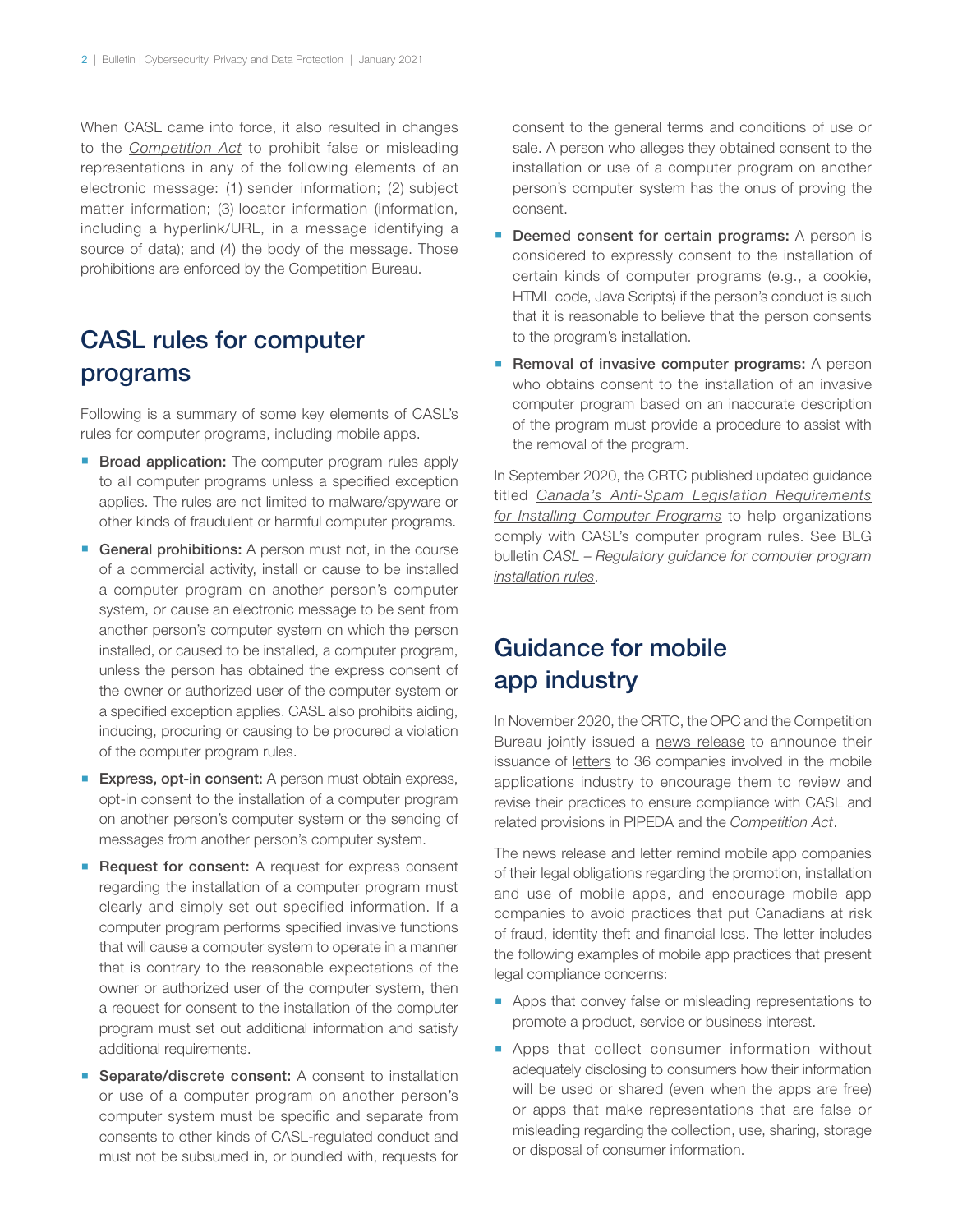When CASL came into force, it also resulted in changes to the *[Competition Act](http://canlii.ca/t/7vdv)* to prohibit false or misleading representations in any of the following elements of an electronic message: (1) sender information; (2) subject matter information; (3) locator information (information, including a hyperlink/URL, in a message identifying a source of data); and (4) the body of the message. Those prohibitions are enforced by the Competition Bureau.

#### CASL rules for computer programs

Following is a summary of some key elements of CASL's rules for computer programs, including mobile apps.

- **Broad application:** The computer program rules apply to all computer programs unless a specified exception applies. The rules are not limited to malware/spyware or other kinds of fraudulent or harmful computer programs.
- **E** General prohibitions: A person must not, in the course of a commercial activity, install or cause to be installed a computer program on another person's computer system, or cause an electronic message to be sent from another person's computer system on which the person installed, or caused to be installed, a computer program, unless the person has obtained the express consent of the owner or authorized user of the computer system or a specified exception applies. CASL also prohibits aiding, inducing, procuring or causing to be procured a violation of the computer program rules.
- **Express, opt-in consent:** A person must obtain express, opt-in consent to the installation of a computer program on another person's computer system or the sending of messages from another person's computer system.
- Request for consent: A request for express consent regarding the installation of a computer program must clearly and simply set out specified information. If a computer program performs specified invasive functions that will cause a computer system to operate in a manner that is contrary to the reasonable expectations of the owner or authorized user of the computer system, then a request for consent to the installation of the computer program must set out additional information and satisfy additional requirements.
- **E** Separate/discrete consent: A consent to installation or use of a computer program on another person's computer system must be specific and separate from consents to other kinds of CASL-regulated conduct and must not be subsumed in, or bundled with, requests for

consent to the general terms and conditions of use or sale. A person who alleges they obtained consent to the installation or use of a computer program on another person's computer system has the onus of proving the consent.

- **Deemed consent for certain programs:** A person is considered to expressly consent to the installation of certain kinds of computer programs (e.g., a cookie, HTML code, Java Scripts) if the person's conduct is such that it is reasonable to believe that the person consents to the program's installation.
- **E** Removal of invasive computer programs: A person who obtains consent to the installation of an invasive computer program based on an inaccurate description of the program must provide a procedure to assist with the removal of the program.

In September 2020, the CRTC published updated guidance titled *[Canada's Anti-Spam Legislation Requirements](https://crtc.gc.ca/eng/internet/install.htm) [for Installing Computer Programs](https://crtc.gc.ca/eng/internet/install.htm)* to help organizations comply with CASL's computer program rules. See BLG bulletin *[CASL – Regulatory guidance for computer program](https://www.blg.com/-/media/insights/documents/casl-regulatory-guidance-for-computer-program-installation-rules.pdf) [installation rules](https://www.blg.com/-/media/insights/documents/casl-regulatory-guidance-for-computer-program-installation-rules.pdf)*.

#### Guidance for mobile app industry

In November 2020, the CRTC, the OPC and the Competition Bureau jointly issued a [news release](https://priv.gc.ca/en/opc-news/news-and-announcements/2020/nr-c_201126/?wbdisable=true) to announce their issuance of [letters](https://priv.gc.ca/en/opc-news/news-and-announcements/2020/let_201126/) to 36 companies involved in the mobile applications industry to encourage them to review and revise their practices to ensure compliance with CASL and related provisions in PIPEDA and the *Competition Act*.

The news release and letter remind mobile app companies of their legal obligations regarding the promotion, installation and use of mobile apps, and encourage mobile app companies to avoid practices that put Canadians at risk of fraud, identity theft and financial loss. The letter includes the following examples of mobile app practices that present legal compliance concerns:

- **Apps that convey false or misleading representations to** promote a product, service or business interest.
- **E** Apps that collect consumer information without adequately disclosing to consumers how their information will be used or shared (even when the apps are free) or apps that make representations that are false or misleading regarding the collection, use, sharing, storage or disposal of consumer information.